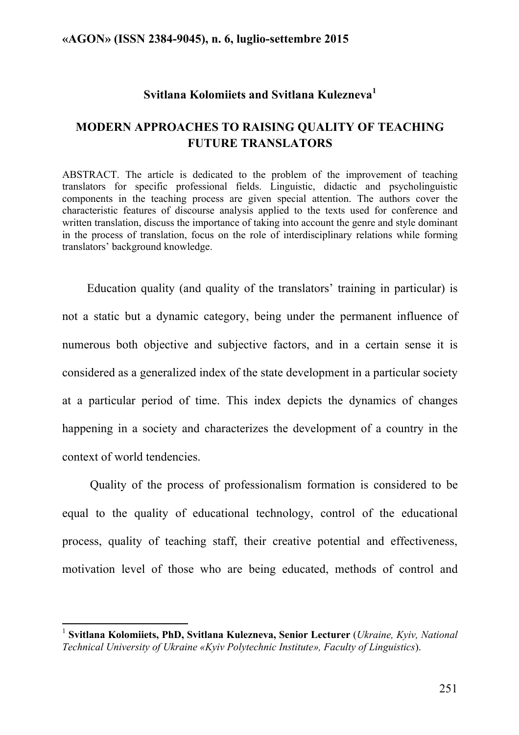### **Svitlana Kolomiiets and Svitlana Kulezneva<sup>1</sup>**

### **MODERN APPROACHES TO RAISING QUALITY OF TEACHING FUTURE TRANSLATORS**

ABSTRACT. The article is dedicated to the problem of the improvement of teaching translators for specific professional fields. Linguistic, didactic and psycholinguistic components in the teaching process are given special attention. The authors cover the characteristic features of discourse analysis applied to the texts used for conference and written translation, discuss the importance of taking into account the genre and style dominant in the process of translation, focus on the role of interdisciplinary relations while forming translators' background knowledge.

Education quality (and quality of the translators' training in particular) is not a static but a dynamic category, being under the permanent influence of numerous both objective and subjective factors, and in a certain sense it is considered as a generalized index of the state development in a particular society at a particular period of time. This index depicts the dynamics of changes happening in a society and characterizes the development of a country in the context of world tendencies.

Quality of the process of professionalism formation is considered to be equal to the quality of educational technology, control of the educational process, quality of teaching staff, their creative potential and effectiveness, motivation level of those who are being educated, methods of control and

<sup>&</sup>lt;sup>1</sup> Svitlana Kolomiiets, PhD, Svitlana Kulezneva, Senior Lecturer (*Ukraine, Kyiv, National Technical University of Ukraine «Kyiv Polytechnic Institute», Faculty of Linguistics*).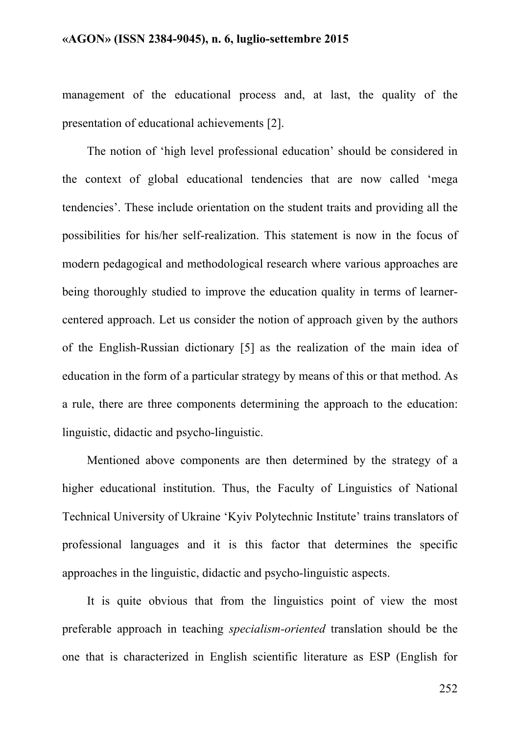management of the educational process and, at last, the quality of the presentation of educational achievements [2].

The notion of 'high level professional education' should be considered in the context of global educational tendencies that are now called 'mega tendencies'. These include orientation on the student traits and providing all the possibilities for his/her self-realization. This statement is now in the focus of modern pedagogical and methodological research where various approaches are being thoroughly studied to improve the education quality in terms of learnercentered approach. Let us consider the notion of approach given by the authors of the English-Russian dictionary [5] as the realization of the main idea of education in the form of a particular strategy by means of this or that method. As a rule, there are three components determining the approach to the education: linguistic, didactic and psycho-linguistic.

Mentioned above components are then determined by the strategy of a higher educational institution. Thus, the Faculty of Linguistics of National Technical University of Ukraine 'Kyiv Polytechnic Institute' trains translators of professional languages and it is this factor that determines the specific approaches in the linguistic, didactic and psycho-linguistic aspects.

It is quite obvious that from the linguistics point of view the most preferable approach in teaching *specialism-oriented* translation should be the one that is characterized in English scientific literature as ESP (English for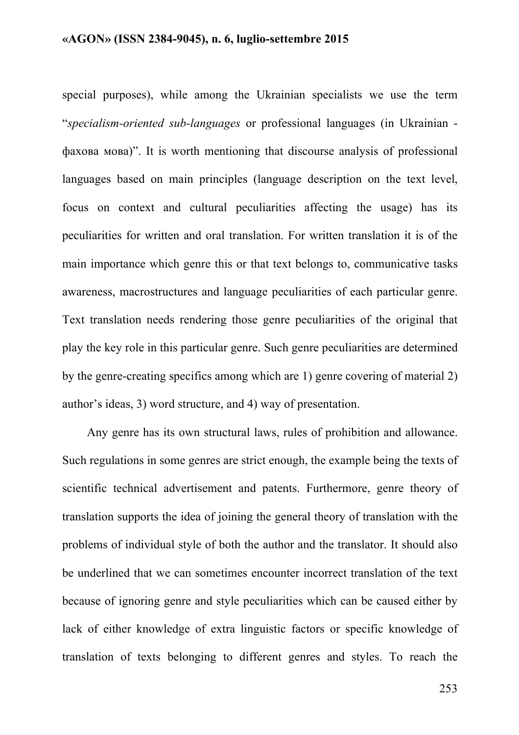special purposes), while among the Ukrainian specialists we use the term "*specialism-oriented sub-languages* or professional languages (in Ukrainian фахова мова)". It is worth mentioning that discourse analysis of professional languages based on main principles (language description on the text level, focus on context and cultural peculiarities affecting the usage) has its peculiarities for written and oral translation. For written translation it is of the main importance which genre this or that text belongs to, communicative tasks awareness, macrostructures and language peculiarities of each particular genre. Text translation needs rendering those genre peculiarities of the original that play the key role in this particular genre. Such genre peculiarities are determined by the genre-creating specifics among which are 1) genre covering of material 2) author's ideas, 3) word structure, and 4) way of presentation.

Any genre has its own structural laws, rules of prohibition and allowance. Such regulations in some genres are strict enough, the example being the texts of scientific technical advertisement and patents. Furthermore, genre theory of translation supports the idea of joining the general theory of translation with the problems of individual style of both the author and the translator. It should also be underlined that we can sometimes encounter incorrect translation of the text because of ignoring genre and style peculiarities which can be caused either by lack of either knowledge of extra linguistic factors or specific knowledge of translation of texts belonging to different genres and styles. To reach the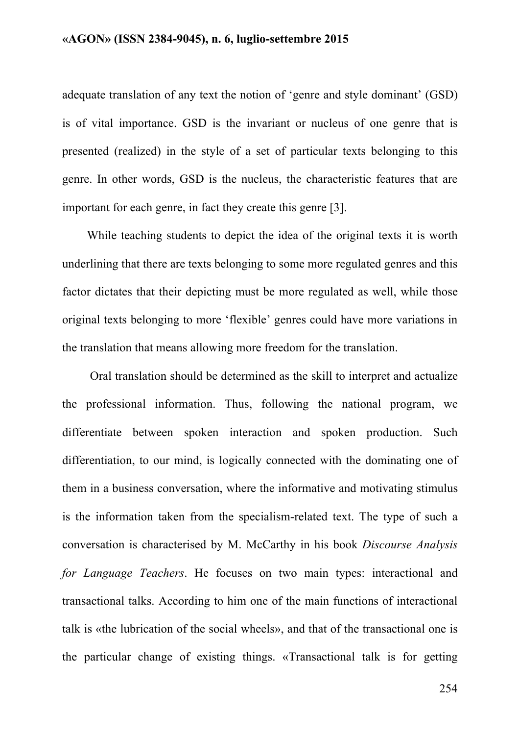adequate translation of any text the notion of 'genre and style dominant' (GSD) is of vital importance. GSD is the invariant or nucleus of one genre that is presented (realized) in the style of a set of particular texts belonging to this genre. In other words, GSD is the nucleus, the characteristic features that are important for each genre, in fact they create this genre [3].

While teaching students to depict the idea of the original texts it is worth underlining that there are texts belonging to some more regulated genres and this factor dictates that their depicting must be more regulated as well, while those original texts belonging to more 'flexible' genres could have more variations in the translation that means allowing more freedom for the translation.

Oral translation should be determined as the skill to interpret and actualize the professional information. Thus, following the national program, we differentiate between spoken interaction and spoken production. Such differentiation, to our mind, is logically connected with the dominating one of them in a business conversation, where the informative and motivating stimulus is the information taken from the specialism-related text. The type of such a conversation is characterised by M. McCarthy in his book *Discourse Analysis for Language Teachers*. He focuses on two main types: interactional and transactional talks. According to him one of the main functions of interactional talk is «the lubrication of the social wheels», and that of the transactional one is the particular change of existing things. «Transactional talk is for getting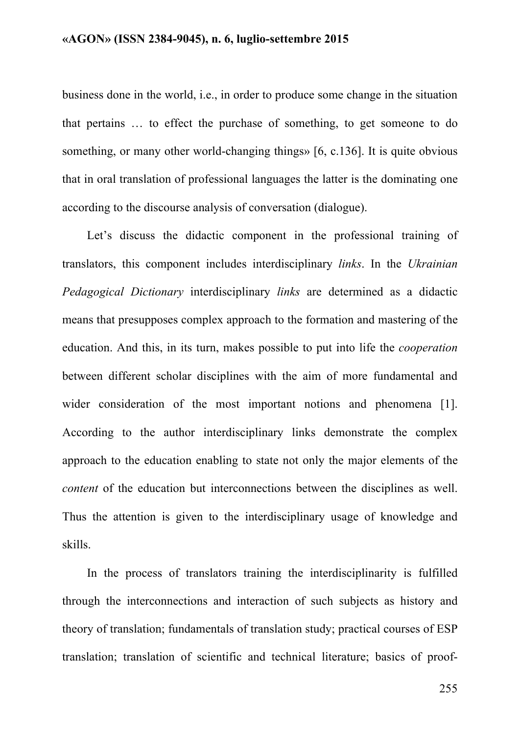business done in the world, i.e., in order to produce some change in the situation that pertains … to effect the purchase of something, to get someone to do something, or many other world-changing things» [6, c.136]. It is quite obvious that in oral translation of professional languages the latter is the dominating one according to the discourse analysis of conversation (dialogue).

Let's discuss the didactic component in the professional training of translators, this component includes interdisciplinary *links*. In the *Ukrainian Pedagogical Dictionary* interdisciplinary *links* are determined as a didactic means that presupposes complex approach to the formation and mastering of the education. And this, in its turn, makes possible to put into life the *cooperation* between different scholar disciplines with the aim of more fundamental and wider consideration of the most important notions and phenomena [1]. According to the author interdisciplinary links demonstrate the complex approach to the education enabling to state not only the major elements of the *content* of the education but interconnections between the disciplines as well. Thus the attention is given to the interdisciplinary usage of knowledge and skills.

In the process of translators training the interdisciplinarity is fulfilled through the interconnections and interaction of such subjects as history and theory of translation; fundamentals of translation study; practical courses of ESP translation; translation of scientific and technical literature; basics of proof-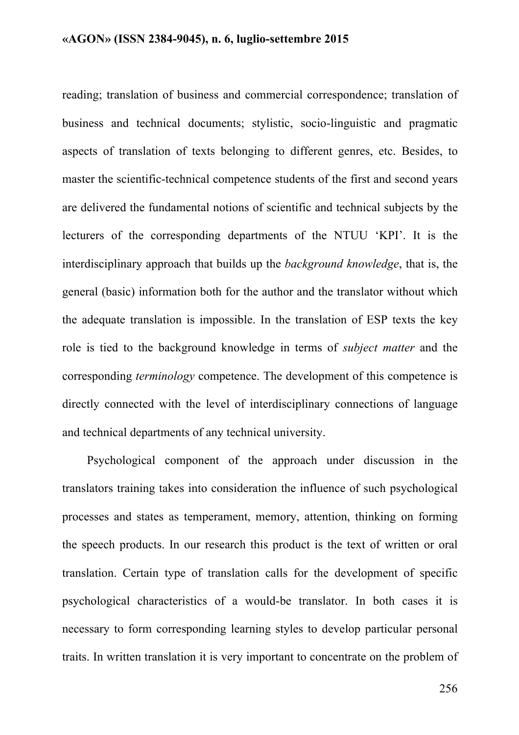reading; translation of business and commercial correspondence; translation of business and technical documents; stylistic, socio-linguistic and pragmatic aspects of translation of texts belonging to different genres, etc. Besides, to master the scientific-technical competence students of the first and second years are delivered the fundamental notions of scientific and technical subjects by the lecturers of the corresponding departments of the NTUU 'KPI'. It is the interdisciplinary approach that builds up the *background knowledge*, that is, the general (basic) information both for the author and the translator without which the adequate translation is impossible. In the translation of ESP texts the key role is tied to the background knowledge in terms of *subject matter* and the corresponding *terminology* competence. The development of this competence is directly connected with the level of interdisciplinary connections of language and technical departments of any technical university.

Psychological component of the approach under discussion in the translators training takes into consideration the influence of such psychological processes and states as temperament, memory, attention, thinking on forming the speech products. In our research this product is the text of written or oral translation. Certain type of translation calls for the development of specific psychological characteristics of a would-be translator. In both cases it is necessary to form corresponding learning styles to develop particular personal traits. In written translation it is very important to concentrate on the problem of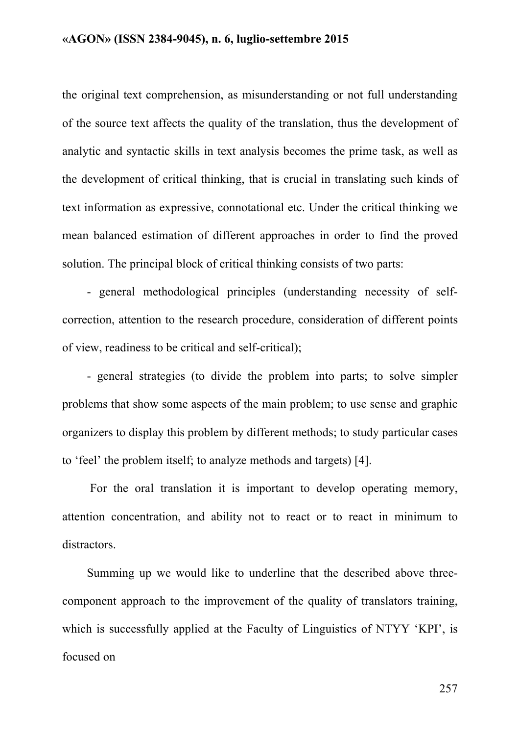the original text comprehension, as misunderstanding or not full understanding of the source text affects the quality of the translation, thus the development of analytic and syntactic skills in text analysis becomes the prime task, as well as the development of critical thinking, that is crucial in translating such kinds of text information as expressive, connotational etc. Under the critical thinking we mean balanced estimation of different approaches in order to find the proved solution. The principal block of critical thinking consists of two parts:

- general methodological principles (understanding necessity of selfcorrection, attention to the research procedure, consideration of different points of view, readiness to be critical and self-critical);

- general strategies (to divide the problem into parts; to solve simpler problems that show some aspects of the main problem; to use sense and graphic organizers to display this problem by different methods; to study particular cases to 'feel' the problem itself; to analyze methods and targets) [4].

For the oral translation it is important to develop operating memory, attention concentration, and ability not to react or to react in minimum to distractors.

Summing up we would like to underline that the described above threecomponent approach to the improvement of the quality of translators training, which is successfully applied at the Faculty of Linguistics of NTYY 'KPI', is focused on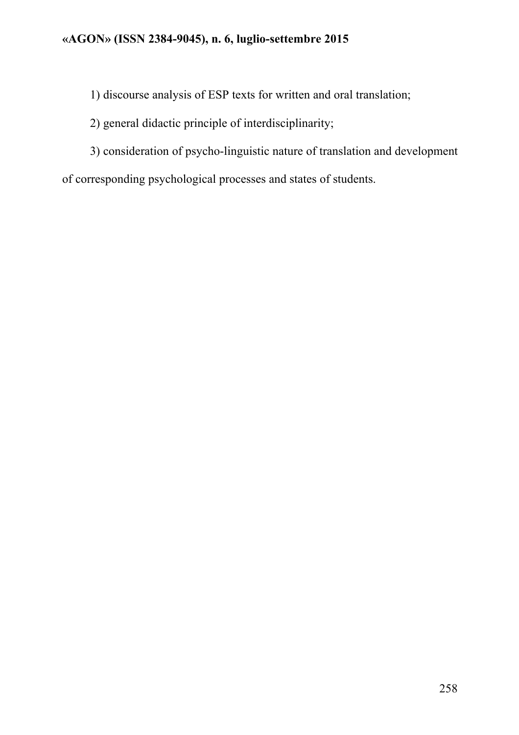1) discourse analysis of ESP texts for written and oral translation;

## 2) general didactic principle of interdisciplinarity;

3) consideration of psycho-linguistic nature of translation and development of corresponding psychological processes and states of students.